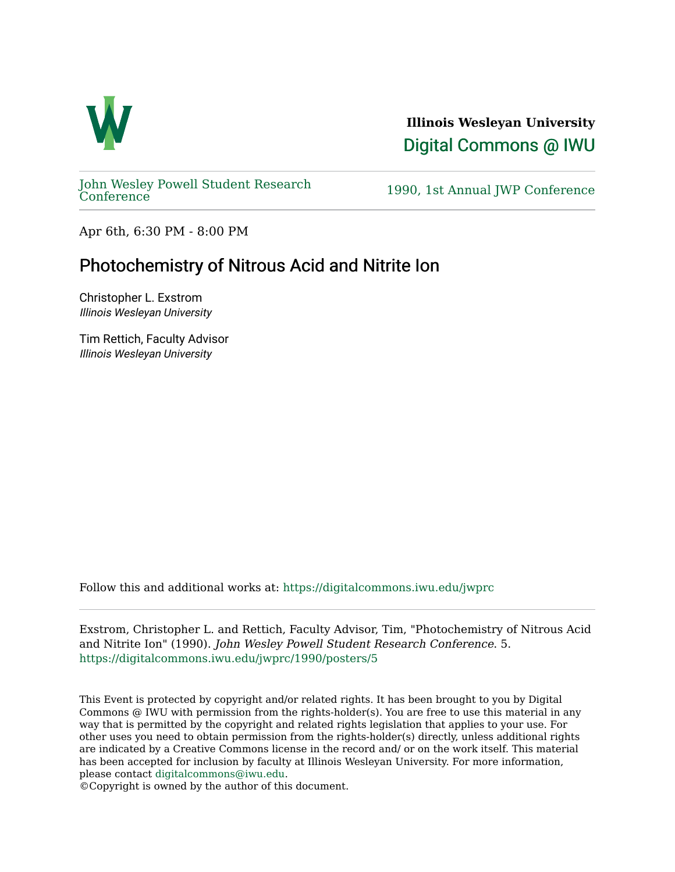

**Illinois Wesleyan University**  [Digital Commons @ IWU](https://digitalcommons.iwu.edu/) 

[John Wesley Powell Student Research](https://digitalcommons.iwu.edu/jwprc) 

1990, 1st Annual JWP [Conference](https://digitalcommons.iwu.edu/jwprc)

Apr 6th, 6:30 PM - 8:00 PM

## Photochemistry of Nitrous Acid and Nitrite Ion

Christopher L. Exstrom Illinois Wesleyan University

Tim Rettich, Faculty Advisor Illinois Wesleyan University

Follow this and additional works at: [https://digitalcommons.iwu.edu/jwprc](https://digitalcommons.iwu.edu/jwprc?utm_source=digitalcommons.iwu.edu%2Fjwprc%2F1990%2Fposters%2F5&utm_medium=PDF&utm_campaign=PDFCoverPages) 

Exstrom, Christopher L. and Rettich, Faculty Advisor, Tim, "Photochemistry of Nitrous Acid and Nitrite Ion" (1990). John Wesley Powell Student Research Conference. 5. [https://digitalcommons.iwu.edu/jwprc/1990/posters/5](https://digitalcommons.iwu.edu/jwprc/1990/posters/5?utm_source=digitalcommons.iwu.edu%2Fjwprc%2F1990%2Fposters%2F5&utm_medium=PDF&utm_campaign=PDFCoverPages) 

This Event is protected by copyright and/or related rights. It has been brought to you by Digital Commons @ IWU with permission from the rights-holder(s). You are free to use this material in any way that is permitted by the copyright and related rights legislation that applies to your use. For other uses you need to obtain permission from the rights-holder(s) directly, unless additional rights are indicated by a Creative Commons license in the record and/ or on the work itself. This material has been accepted for inclusion by faculty at Illinois Wesleyan University. For more information, please contact [digitalcommons@iwu.edu.](mailto:digitalcommons@iwu.edu)

©Copyright is owned by the author of this document.